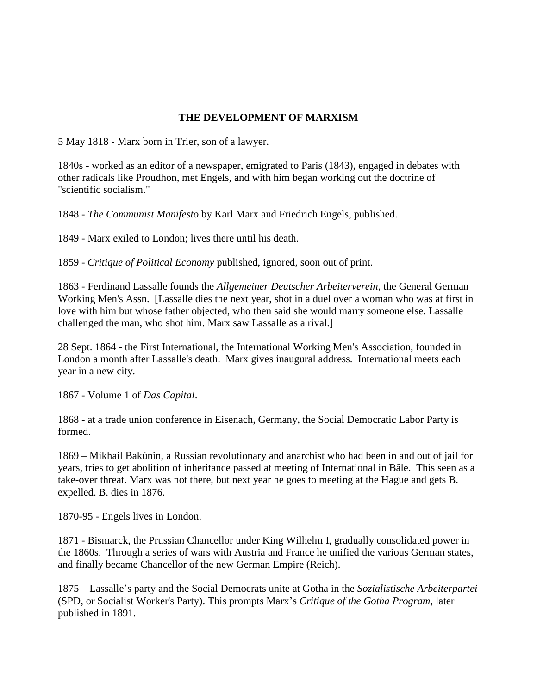## **THE DEVELOPMENT OF MARXISM**

5 May 1818 - Marx born in Trier, son of a lawyer.

1840s - worked as an editor of a newspaper, emigrated to Paris (1843), engaged in debates with other radicals like Proudhon, met Engels, and with him began working out the doctrine of "scientific socialism."

1848 - *The Communist Manifesto* by Karl Marx and Friedrich Engels, published.

1849 - Marx exiled to London; lives there until his death.

1859 - *Critique of Political Economy* published, ignored, soon out of print.

1863 - Ferdinand Lassalle founds the *Allgemeiner Deutscher Arbeiterverein*, the General German Working Men's Assn. [Lassalle dies the next year, shot in a duel over a woman who was at first in love with him but whose father objected, who then said she would marry someone else. Lassalle challenged the man, who shot him. Marx saw Lassalle as a rival.]

28 Sept. 1864 - the First International, the International Working Men's Association, founded in London a month after Lassalle's death. Marx gives inaugural address. International meets each year in a new city.

1867 - Volume 1 of *Das Capital*.

1868 - at a trade union conference in Eisenach, Germany, the Social Democratic Labor Party is formed.

1869 – Mikhail Bakúnin, a Russian revolutionary and anarchist who had been in and out of jail for years, tries to get abolition of inheritance passed at meeting of International in Bâle. This seen as a take-over threat. Marx was not there, but next year he goes to meeting at the Hague and gets B. expelled. B. dies in 1876.

1870-95 - Engels lives in London.

1871 - Bismarck, the Prussian Chancellor under King Wilhelm I, gradually consolidated power in the 1860s. Through a series of wars with Austria and France he unified the various German states, and finally became Chancellor of the new German Empire (Reich).

1875 – Lassalle's party and the Social Democrats unite at Gotha in the *Sozialistische Arbeiterpartei* (SPD, or Socialist Worker's Party). This prompts Marx's *Critique of the Gotha Program*, later published in 1891.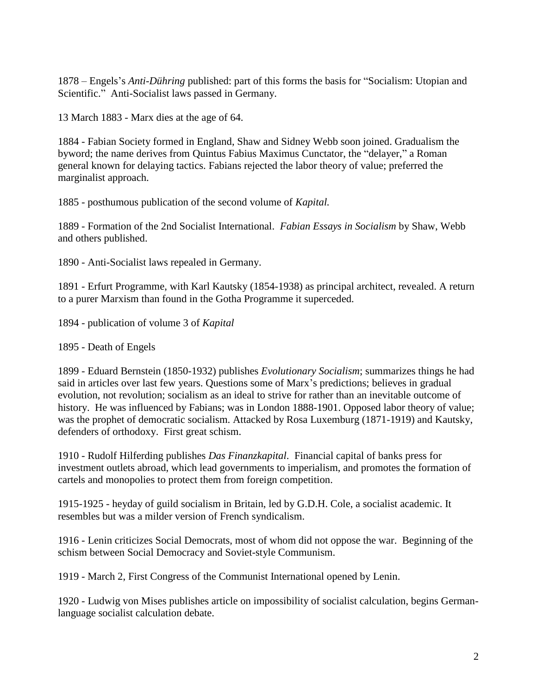1878 – Engels's *Anti-Dühring* published: part of this forms the basis for "Socialism: Utopian and Scientific." Anti-Socialist laws passed in Germany.

13 March 1883 - Marx dies at the age of 64.

1884 - Fabian Society formed in England, Shaw and Sidney Webb soon joined. Gradualism the byword; the name derives from Quintus Fabius Maximus Cunctator, the "delayer," a Roman general known for delaying tactics. Fabians rejected the labor theory of value; preferred the marginalist approach.

1885 - posthumous publication of the second volume of *Kapital.*

1889 - Formation of the 2nd Socialist International. *Fabian Essays in Socialism* by Shaw, Webb and others published.

1890 - Anti-Socialist laws repealed in Germany.

1891 - Erfurt Programme, with Karl Kautsky (1854-1938) as principal architect, revealed. A return to a purer Marxism than found in the Gotha Programme it superceded.

1894 - publication of volume 3 of *Kapital*

1895 - Death of Engels

1899 - Eduard Bernstein (1850-1932) publishes *Evolutionary Socialism*; summarizes things he had said in articles over last few years. Questions some of Marx's predictions; believes in gradual evolution, not revolution; socialism as an ideal to strive for rather than an inevitable outcome of history. He was influenced by Fabians; was in London 1888-1901. Opposed labor theory of value; was the prophet of democratic socialism. Attacked by Rosa Luxemburg (1871-1919) and Kautsky, defenders of orthodoxy. First great schism.

1910 - Rudolf Hilferding publishes *Das Finanzkapital*. Financial capital of banks press for investment outlets abroad, which lead governments to imperialism, and promotes the formation of cartels and monopolies to protect them from foreign competition.

1915-1925 - heyday of guild socialism in Britain, led by G.D.H. Cole, a socialist academic. It resembles but was a milder version of French syndicalism.

1916 - Lenin criticizes Social Democrats, most of whom did not oppose the war. Beginning of the schism between Social Democracy and Soviet-style Communism.

1919 - March 2, First Congress of the Communist International opened by Lenin.

1920 - Ludwig von Mises publishes article on impossibility of socialist calculation, begins Germanlanguage socialist calculation debate.